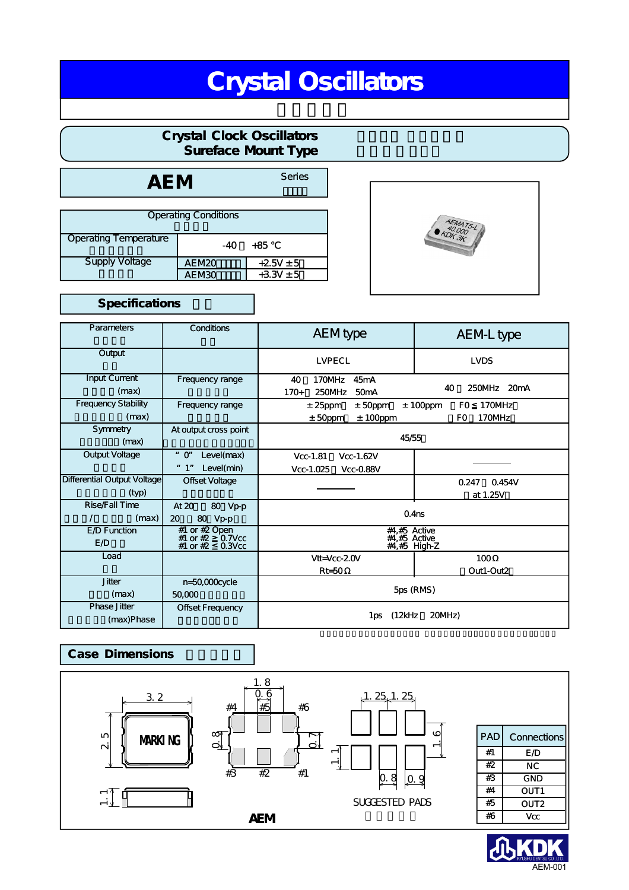# Crystal Oscillators

# Crystal Clock Oscillators Sureface Mount Type

AEM Series

| <b>Operating Conditions</b> |                    |               |  |  |
|-----------------------------|--------------------|---------------|--|--|
| Operating Temperature       | +85<br>-40         |               |  |  |
| <b>Supply Voltage</b>       | <b>AE M20</b>      | $+25V \pm 5$  |  |  |
|                             | AE M <sub>30</sub> | $+3.3V \pm 5$ |  |  |

## Specifications

| Parameters                          | Conditions                                                                    | <b>AEM</b> type                              | AEM-L type                        |  |  |
|-------------------------------------|-------------------------------------------------------------------------------|----------------------------------------------|-----------------------------------|--|--|
| Output                              |                                                                               | LVPECL                                       | LVDS                              |  |  |
| Input Current                       | Frequency range                                                               | 170MHz<br>45 <sub>m</sub> A<br>40            |                                   |  |  |
| (max)                               |                                                                               | 250MHz<br>$170+$<br>50 <sub>m</sub> A        | 40<br>250MHz<br>20 <sub>m</sub> A |  |  |
| <b>Frequency Stability</b>          | Frequency range                                                               | $±$ 50ppm<br>$± 25$ ppm                      | 170MHz<br>$± 100$ ppm<br>FO.      |  |  |
| (max)                               |                                                                               | $± 100$ ppm<br>$±$ 50ppm                     | 170MHz<br>F0                      |  |  |
| Symmetry<br>(max)                   | At output cross point                                                         | 45/55                                        |                                   |  |  |
| Output Voltage                      | $"$ $O"$<br>Level(max)                                                        | $Vcc-1.81$<br>Vcc-1.62V                      |                                   |  |  |
|                                     | " 1"<br>Level(min)                                                            | $Vcc-1.025$<br>Vcc-0.88V                     |                                   |  |  |
| Differential Output Voltage         | Offset Voltage                                                                |                                              | 0.247<br>0.454V                   |  |  |
| (typ)                               |                                                                               |                                              | at 1.25V                          |  |  |
| Rise/Fall Time<br>$\prime$<br>(max) | 80 Vp-p<br>At 20<br>80<br>$Vp-p$<br>20                                        | 0.4 <sub>ns</sub>                            |                                   |  |  |
| E D Function<br>E /D                | #1 or $#2$ Open<br>$0.7$ V $cc$<br>#1 or $#2$<br>$#1$ or $#2$<br>$0.3$ V $cc$ | #4,#5 Active<br>#4,#5 Active<br>#4,#5 High-Z |                                   |  |  |
| Load                                |                                                                               | $Vt = Vcc-2.0V$                              | 100                               |  |  |
|                                     |                                                                               | $R = 50$                                     | Out1-Out2                         |  |  |
| <b>Jitter</b>                       | n=50,000cycle                                                                 |                                              |                                   |  |  |
| (max)                               | 50,000                                                                        | 5ps (RMS)                                    |                                   |  |  |
| <b>Phase Jitter</b><br>(max)Phase   | Offset Frequency                                                              | (12kHz)<br>20MHz)<br>1ps                     |                                   |  |  |

# **Case Dimensions**